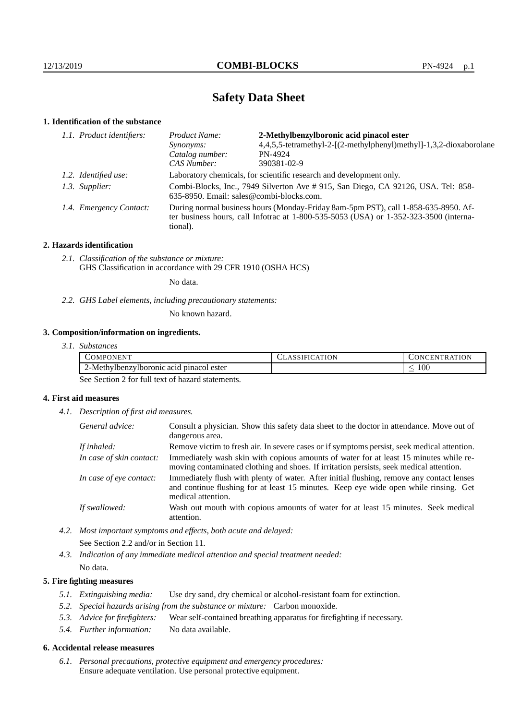# **Safety Data Sheet**

# **1. Identification of the substance**

|  | 1.1. Product identifiers: | Product Name:                                                                                                                                                                           | 2-Methylbenzylboronic acid pinacol ester                           |
|--|---------------------------|-----------------------------------------------------------------------------------------------------------------------------------------------------------------------------------------|--------------------------------------------------------------------|
|  |                           | <i>Synonyms:</i>                                                                                                                                                                        | 4,4,5,5-tetramethyl-2-[(2-methylphenyl)methyl]-1,3,2-dioxaborolane |
|  |                           | Catalog number:                                                                                                                                                                         | PN-4924                                                            |
|  |                           | CAS Number:                                                                                                                                                                             | 390381-02-9                                                        |
|  | 1.2. Identified use:      | Laboratory chemicals, for scientific research and development only.                                                                                                                     |                                                                    |
|  | 1.3. Supplier:            | Combi-Blocks, Inc., 7949 Silverton Ave # 915, San Diego, CA 92126, USA. Tel: 858-<br>635-8950. Email: sales@combi-blocks.com.                                                           |                                                                    |
|  | 1.4. Emergency Contact:   | During normal business hours (Monday-Friday 8am-5pm PST), call 1-858-635-8950. Af-<br>ter business hours, call Infotrac at 1-800-535-5053 (USA) or 1-352-323-3500 (interna-<br>tional). |                                                                    |
|  |                           |                                                                                                                                                                                         |                                                                    |

#### **2. Hazards identification**

*2.1. Classification of the substance or mixture:* GHS Classification in accordance with 29 CFR 1910 (OSHA HCS)

No data.

*2.2. GHS Label elements, including precautionary statements:*

No known hazard.

### **3. Composition/information on ingredients.**

| 3.1. Substances |
|-----------------|
|                 |

| √MP∙<br>. )NEN"                               | ΑΤΙΟΝ<br> | ATION<br>N<br><b>INI</b><br>н.<br>н. |
|-----------------------------------------------|-----------|--------------------------------------|
| c acid pinacol ester<br>2-Methylbenzylboronic |           | $100\,$<br>$\overline{\phantom{a}}$  |

See Section 2 for full text of hazard statements.

#### **4. First aid measures**

*4.1. Description of first aid measures.*

| General advice:          | Consult a physician. Show this safety data sheet to the doctor in attendance. Move out of<br>dangerous area.                                                                                            |
|--------------------------|---------------------------------------------------------------------------------------------------------------------------------------------------------------------------------------------------------|
| If inhaled:              | Remove victim to fresh air. In severe cases or if symptoms persist, seek medical attention.                                                                                                             |
| In case of skin contact: | Immediately wash skin with copious amounts of water for at least 15 minutes while re-<br>moving contaminated clothing and shoes. If irritation persists, seek medical attention.                        |
| In case of eye contact:  | Immediately flush with plenty of water. After initial flushing, remove any contact lenses<br>and continue flushing for at least 15 minutes. Keep eye wide open while rinsing. Get<br>medical attention. |
| If swallowed:            | Wash out mouth with copious amounts of water for at least 15 minutes. Seek medical<br>attention.                                                                                                        |

*4.2. Most important symptoms and effects, both acute and delayed:* See Section 2.2 and/or in Section 11.

*4.3. Indication of any immediate medical attention and special treatment needed:* No data.

#### **5. Fire fighting measures**

- *5.1. Extinguishing media:* Use dry sand, dry chemical or alcohol-resistant foam for extinction.
- *5.2. Special hazards arising from the substance or mixture:* Carbon monoxide.
- *5.3. Advice for firefighters:* Wear self-contained breathing apparatus for firefighting if necessary.
- *5.4. Further information:* No data available.

#### **6. Accidental release measures**

*6.1. Personal precautions, protective equipment and emergency procedures:* Ensure adequate ventilation. Use personal protective equipment.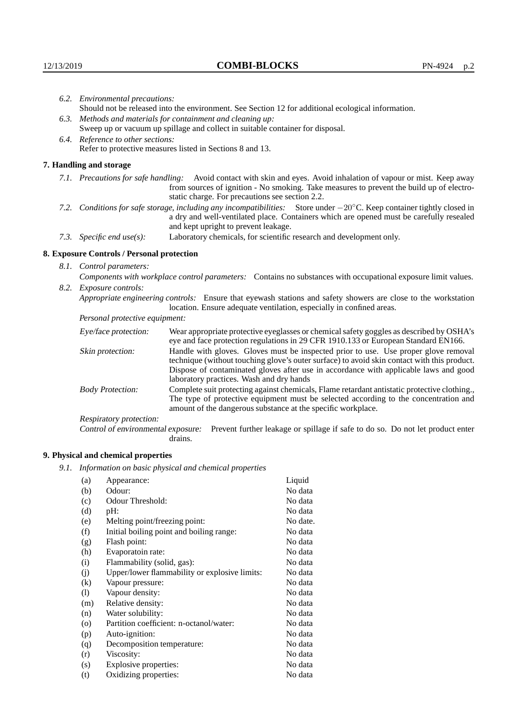|                                                                                                                                                                                                                          | 6.2. Environmental precautions:                                                                                                                                                                                                                                     |                                                                                                                                                                                                                                |  |  |
|--------------------------------------------------------------------------------------------------------------------------------------------------------------------------------------------------------------------------|---------------------------------------------------------------------------------------------------------------------------------------------------------------------------------------------------------------------------------------------------------------------|--------------------------------------------------------------------------------------------------------------------------------------------------------------------------------------------------------------------------------|--|--|
|                                                                                                                                                                                                                          | Should not be released into the environment. See Section 12 for additional ecological information.                                                                                                                                                                  |                                                                                                                                                                                                                                |  |  |
|                                                                                                                                                                                                                          | 6.3. Methods and materials for containment and cleaning up:                                                                                                                                                                                                         |                                                                                                                                                                                                                                |  |  |
|                                                                                                                                                                                                                          |                                                                                                                                                                                                                                                                     | Sweep up or vacuum up spillage and collect in suitable container for disposal.                                                                                                                                                 |  |  |
|                                                                                                                                                                                                                          | 6.4. Reference to other sections:                                                                                                                                                                                                                                   |                                                                                                                                                                                                                                |  |  |
|                                                                                                                                                                                                                          | Refer to protective measures listed in Sections 8 and 13.                                                                                                                                                                                                           |                                                                                                                                                                                                                                |  |  |
|                                                                                                                                                                                                                          | 7. Handling and storage                                                                                                                                                                                                                                             |                                                                                                                                                                                                                                |  |  |
|                                                                                                                                                                                                                          | 7.1. Precautions for safe handling:                                                                                                                                                                                                                                 | Avoid contact with skin and eyes. Avoid inhalation of vapour or mist. Keep away<br>from sources of ignition - No smoking. Take measures to prevent the build up of electro-<br>static charge. For precautions see section 2.2. |  |  |
|                                                                                                                                                                                                                          | 7.2. Conditions for safe storage, including any incompatibilities: Store under $-20^{\circ}$ C. Keep container tightly closed in<br>a dry and well-ventilated place. Containers which are opened must be carefully resealed<br>and kept upright to prevent leakage. |                                                                                                                                                                                                                                |  |  |
| Laboratory chemicals, for scientific research and development only.<br>7.3. Specific end use(s):                                                                                                                         |                                                                                                                                                                                                                                                                     |                                                                                                                                                                                                                                |  |  |
|                                                                                                                                                                                                                          | 8. Exposure Controls / Personal protection                                                                                                                                                                                                                          |                                                                                                                                                                                                                                |  |  |
|                                                                                                                                                                                                                          | 8.1. Control parameters:                                                                                                                                                                                                                                            |                                                                                                                                                                                                                                |  |  |
|                                                                                                                                                                                                                          | Components with workplace control parameters: Contains no substances with occupational exposure limit values.                                                                                                                                                       |                                                                                                                                                                                                                                |  |  |
|                                                                                                                                                                                                                          | 8.2. Exposure controls:                                                                                                                                                                                                                                             |                                                                                                                                                                                                                                |  |  |
| Appropriate engineering controls: Ensure that eyewash stations and safety showers are close to the workstation<br>location. Ensure adequate ventilation, especially in confined areas.<br>Personal protective equipment: |                                                                                                                                                                                                                                                                     |                                                                                                                                                                                                                                |  |  |
|                                                                                                                                                                                                                          |                                                                                                                                                                                                                                                                     |                                                                                                                                                                                                                                |  |  |
|                                                                                                                                                                                                                          | Eye/face protection:                                                                                                                                                                                                                                                | Wear appropriate protective eyeglasses or chemical safety goggles as described by OSHA's<br>eye and face protection regulations in 29 CFR 1910.133 or European Standard EN166.                                                 |  |  |
|                                                                                                                                                                                                                          | Skin protection:                                                                                                                                                                                                                                                    | Handle with gloves. Gloves must be inspected prior to use. Use proper glove removal<br>technique (without touching glove's outer surface) to avoid skin contact with this product.                                             |  |  |

| Eye/face protection:               | Wear appropriate protective eyeglasses or chemical safety goggles as described by OSHA's<br>eye and face protection regulations in 29 CFR 1910.133 or European Standard EN166.                                                                                                                                         |  |  |
|------------------------------------|------------------------------------------------------------------------------------------------------------------------------------------------------------------------------------------------------------------------------------------------------------------------------------------------------------------------|--|--|
| Skin protection:                   | Handle with gloves. Gloves must be inspected prior to use. Use proper glove removal<br>technique (without touching glove's outer surface) to avoid skin contact with this product.<br>Dispose of contaminated gloves after use in accordance with applicable laws and good<br>laboratory practices. Wash and dry hands |  |  |
| <b>Body Protection:</b>            | Complete suit protecting against chemicals, Flame retardant antistatic protective clothing.,<br>The type of protective equipment must be selected according to the concentration and<br>amount of the dangerous substance at the specific workplace.                                                                   |  |  |
| Respiratory protection:            |                                                                                                                                                                                                                                                                                                                        |  |  |
| Control of environmental exposure: | Prevent further leakage or spillage if safe to do so. Do not let product enter<br>drains.                                                                                                                                                                                                                              |  |  |

# **9. Physical and chemical properties**

*9.1. Information on basic physical and chemical properties*

| (a)                        | Appearance:                                   | Liquid   |
|----------------------------|-----------------------------------------------|----------|
| (b)                        | Odour:                                        | No data  |
| (c)                        | Odour Threshold:                              | No data  |
| (d)                        | pH:                                           | No data  |
| (e)                        | Melting point/freezing point:                 | No date. |
| (f)                        | Initial boiling point and boiling range:      | No data  |
| (g)                        | Flash point:                                  | No data  |
| (h)                        | Evaporatoin rate:                             | No data  |
| (i)                        | Flammability (solid, gas):                    | No data  |
| (j)                        | Upper/lower flammability or explosive limits: | No data  |
| $\left( k\right)$          | Vapour pressure:                              | No data  |
| $\left( \mathrm{l}\right)$ | Vapour density:                               | No data  |
| (m)                        | Relative density:                             | No data  |
| (n)                        | Water solubility:                             | No data  |
| $\circ$                    | Partition coefficient: n-octanol/water:       | No data  |
| (p)                        | Auto-ignition:                                | No data  |
| (q)                        | Decomposition temperature:                    | No data  |
| (r)                        | Viscosity:                                    | No data  |
| (s)                        | Explosive properties:                         | No data  |
| (t)                        | Oxidizing properties:                         | No data  |
|                            |                                               |          |